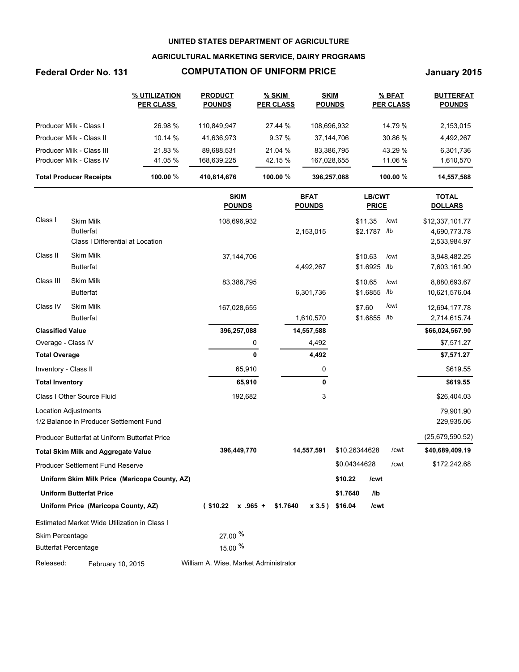### **AGRICULTURAL MARKETING SERVICE, DAIRY PROGRAMS**

# **Federal Order No. 131 COMPUTATION OF UNIFORM PRICE January 2015**

|                                | % UTILIZATION<br><b>PER CLASS</b> | <b>PRODUCT</b><br><b>POUNDS</b> | % SKIM<br><b>PER CLASS</b> | <b>SKIM</b><br><b>POUNDS</b> | % BFAT<br><b>PER CLASS</b> | <b>BUTTERFAT</b><br><b>POUNDS</b> |
|--------------------------------|-----------------------------------|---------------------------------|----------------------------|------------------------------|----------------------------|-----------------------------------|
| Producer Milk - Class I        | 26.98 %                           | 110.849.947                     | 27.44 %                    | 108.696.932                  | 14.79 %                    | 2,153,015                         |
| Producer Milk - Class II       | 10.14 %                           | 41,636,973                      | 9.37%                      | 37.144.706                   | 30.86 %                    | 4,492,267                         |
| Producer Milk - Class III      | 21.83 %                           | 89.688.531                      | 21.04 %                    | 83.386.795                   | 43.29 %                    | 6,301,736                         |
| Producer Milk - Class IV       | 41.05 %                           | 168.639.225                     | 42.15 %                    | 167,028,655                  | 11.06 %                    | 1,610,570                         |
| <b>Total Producer Receipts</b> | 100.00 $%$                        | 410,814,676                     | 100.00 $%$                 | 396,257,088                  | 100.00 $%$                 | 14,557,588                        |

|                             |                                               | <b>SKIM</b><br><b>POUNDS</b>          | <b>BFAT</b><br><b>POUNDS</b> | LB/CWT<br><b>PRICE</b>          | <b>TOTAL</b><br><b>DOLLARS</b>  |
|-----------------------------|-----------------------------------------------|---------------------------------------|------------------------------|---------------------------------|---------------------------------|
| Class I                     | <b>Skim Milk</b><br><b>Butterfat</b>          | 108,696,932                           | 2,153,015                    | \$11.35<br>/cwt<br>\$2.1787 /lb | \$12,337,101.77<br>4,690,773.78 |
|                             | Class I Differential at Location              |                                       |                              |                                 | 2,533,984.97                    |
| Class II                    | <b>Skim Milk</b>                              | 37, 144, 706                          |                              | \$10.63<br>/cwt                 | 3,948,482.25                    |
|                             | <b>Butterfat</b>                              |                                       | 4,492,267                    | \$1.6925<br>/lb                 | 7,603,161.90                    |
| Class III                   | <b>Skim Milk</b>                              | 83,386,795                            |                              | \$10.65<br>/cwt                 | 8,880,693.67                    |
|                             | <b>Butterfat</b>                              |                                       | 6,301,736                    | \$1.6855<br>/lb                 | 10,621,576.04                   |
| Class IV                    | <b>Skim Milk</b>                              | 167,028,655                           |                              | /cwt<br>\$7.60                  | 12,694,177.78                   |
|                             | <b>Butterfat</b>                              |                                       | 1,610,570                    | \$1.6855<br>/lb                 | 2,714,615.74                    |
| <b>Classified Value</b>     |                                               | 396,257,088                           | 14,557,588                   |                                 | \$66,024,567.90                 |
| Overage - Class IV          |                                               | 0                                     | 4,492                        |                                 | \$7,571.27                      |
| <b>Total Overage</b>        |                                               | 0                                     | 4,492                        |                                 | \$7,571.27                      |
| Inventory - Class II        |                                               | 65,910                                | 0                            |                                 | \$619.55                        |
| <b>Total Inventory</b>      |                                               | 65,910                                | 0                            |                                 | \$619.55                        |
|                             | Class I Other Source Fluid                    | 192,682                               | 3                            |                                 | \$26,404.03                     |
|                             | <b>Location Adjustments</b>                   |                                       |                              |                                 | 79,901.90                       |
|                             | 1/2 Balance in Producer Settlement Fund       |                                       |                              |                                 | 229,935.06                      |
|                             | Producer Butterfat at Uniform Butterfat Price |                                       |                              |                                 | (25,679,590.52)                 |
|                             | <b>Total Skim Milk and Aggregate Value</b>    | 396,449,770                           | 14,557,591                   | \$10.26344628                   | /cwt<br>\$40,689,409.19         |
|                             | Producer Settlement Fund Reserve              |                                       |                              | \$0.04344628                    | /cwt<br>\$172,242.68            |
|                             | Uniform Skim Milk Price (Maricopa County, AZ) |                                       |                              | \$10.22<br>/cwt                 |                                 |
|                             | <b>Uniform Butterfat Price</b>                |                                       |                              | \$1.7640<br>I <sub>1</sub>      |                                 |
|                             | Uniform Price (Maricopa County, AZ)           | ( \$10.22]<br>$x$ .965 +              | \$1.7640<br>x 3.5)           | \$16.04<br>/cwt                 |                                 |
|                             | Estimated Market Wide Utilization in Class I  |                                       |                              |                                 |                                 |
| Skim Percentage             |                                               | 27.00 %                               |                              |                                 |                                 |
| <b>Butterfat Percentage</b> |                                               | 15.00 %                               |                              |                                 |                                 |
| Released:                   | February 10, 2015                             | William A. Wise, Market Administrator |                              |                                 |                                 |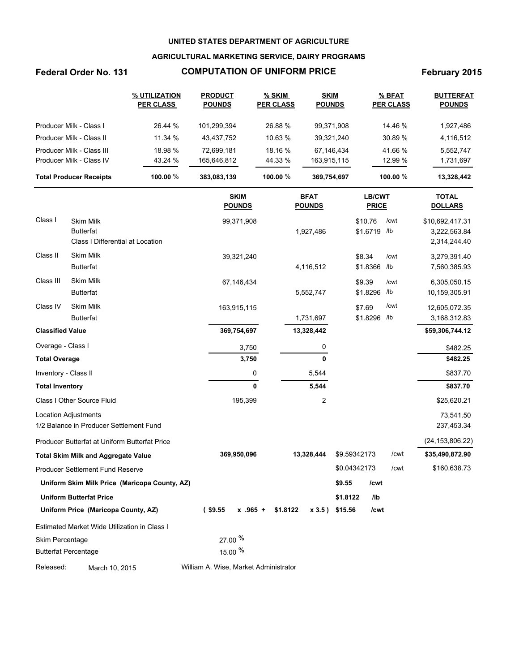### **AGRICULTURAL MARKETING SERVICE, DAIRY PROGRAMS**

# Federal Order No. 131 **COMPUTATION OF UNIFORM PRICE** February 2015

|                                | % UTILIZATION<br><b>PER CLASS</b> | <b>PRODUCT</b><br><b>POUNDS</b> | % SKIM<br><b>PER CLASS</b> | <b>SKIM</b><br><b>POUNDS</b> | % BFAT<br><b>PER CLASS</b> | <b>BUTTERFAT</b><br><b>POUNDS</b> |
|--------------------------------|-----------------------------------|---------------------------------|----------------------------|------------------------------|----------------------------|-----------------------------------|
| Producer Milk - Class I        | 26.44 %                           | 101.299.394                     | 26.88 %                    | 99,371,908                   | 14.46 %                    | 1,927,486                         |
| Producer Milk - Class II       | 11.34 %                           | 43.437.752                      | 10.63 %                    | 39,321,240                   | 30.89 %                    | 4,116,512                         |
| Producer Milk - Class III      | 18.98 %                           | 72.699.181                      | 18.16 %                    | 67,146,434                   | 41.66 %                    | 5,552,747                         |
| Producer Milk - Class IV       | 43.24 %                           | 165,646,812                     | 44.33 %                    | 163,915,115                  | 12.99 %                    | 1,731,697                         |
| <b>Total Producer Receipts</b> | 100.00 $%$                        | 383,083,139                     | 100.00 $%$                 | 369,754,697                  | 100.00 $%$                 | 13,328,442                        |

|                         |                                                                          |                                     | <b>SKIM</b><br><b>POUNDS</b> |          | <b>BFAT</b><br><b>POUNDS</b> |              | LB/CWT<br><b>PRICE</b> |             | <b>TOTAL</b><br><b>DOLLARS</b>                  |
|-------------------------|--------------------------------------------------------------------------|-------------------------------------|------------------------------|----------|------------------------------|--------------|------------------------|-------------|-------------------------------------------------|
| Class I                 | <b>Skim Milk</b><br><b>Butterfat</b><br>Class I Differential at Location |                                     | 99,371,908                   |          | 1,927,486                    | \$10.76      | \$1.6719               | /cwt<br>/lb | \$10,692,417.31<br>3,222,563.84<br>2,314,244.40 |
| Class II                | <b>Skim Milk</b><br><b>Butterfat</b>                                     |                                     | 39,321,240                   |          | 4,116,512                    | \$8.34       | \$1.8366               | /cwt<br>/lb | 3,279,391.40<br>7,560,385.93                    |
| Class III               | Skim Milk<br><b>Butterfat</b>                                            |                                     | 67,146,434                   |          | 5,552,747                    | \$9.39       | \$1.8296               | /cwt<br>/lb | 6,305,050.15<br>10,159,305.91                   |
| Class IV                | <b>Skim Milk</b><br><b>Butterfat</b>                                     |                                     | 163,915,115                  |          | 1,731,697                    | \$7.69       | \$1.8296               | /cwt<br>/lb | 12,605,072.35<br>3,168,312.83                   |
| <b>Classified Value</b> |                                                                          |                                     | 369,754,697                  |          | 13,328,442                   |              |                        |             | \$59,306,744.12                                 |
| Overage - Class I       |                                                                          |                                     | 3,750                        |          | 0                            |              |                        |             | \$482.25                                        |
| <b>Total Overage</b>    |                                                                          |                                     | 3,750                        |          | $\bf{0}$                     |              |                        |             | \$482.25                                        |
| Inventory - Class II    |                                                                          |                                     | 0                            |          | 5,544                        |              |                        |             | \$837.70                                        |
| <b>Total Inventory</b>  |                                                                          |                                     | 0                            |          | 5,544                        |              |                        |             | \$837.70                                        |
|                         | Class I Other Source Fluid                                               |                                     | 195,399                      |          | 2                            |              |                        |             | \$25,620.21                                     |
|                         | <b>Location Adjustments</b><br>1/2 Balance in Producer Settlement Fund   |                                     |                              |          |                              |              |                        |             | 73,541.50<br>237,453.34                         |
|                         | Producer Butterfat at Uniform Butterfat Price                            |                                     |                              |          |                              |              |                        |             | (24, 153, 806.22)                               |
|                         | <b>Total Skim Milk and Aggregate Value</b>                               |                                     | 369,950,096                  |          | 13,328,444                   | \$9.59342173 |                        | /cwt        | \$35,490,872.90                                 |
|                         | <b>Producer Settlement Fund Reserve</b>                                  |                                     |                              |          |                              | \$0.04342173 |                        | /cwt        | \$160,638.73                                    |
|                         | Uniform Skim Milk Price (Maricopa County, AZ)                            |                                     |                              |          |                              | \$9.55       | /cwt                   |             |                                                 |
|                         | <b>Uniform Butterfat Price</b>                                           |                                     |                              |          |                              | \$1.8122     | I <sub>1</sub>         |             |                                                 |
|                         | Uniform Price (Maricopa County, AZ)                                      | $($ \$9.55                          | $x$ .965 +                   | \$1.8122 | x3.5)                        | \$15.56      | /cwt                   |             |                                                 |
|                         | Estimated Market Wide Utilization in Class I                             |                                     |                              |          |                              |              |                        |             |                                                 |
| Skim Percentage         | <b>Butterfat Percentage</b>                                              | 27.00 %<br>15.00 %                  |                              |          |                              |              |                        |             |                                                 |
| Dologeod:               | $M = -1$ $AD$ $DAF$                                                      | William A Wise Market Administrator |                              |          |                              |              |                        |             |                                                 |

Released: March 10, 2015 William A. Wise, Market Administrator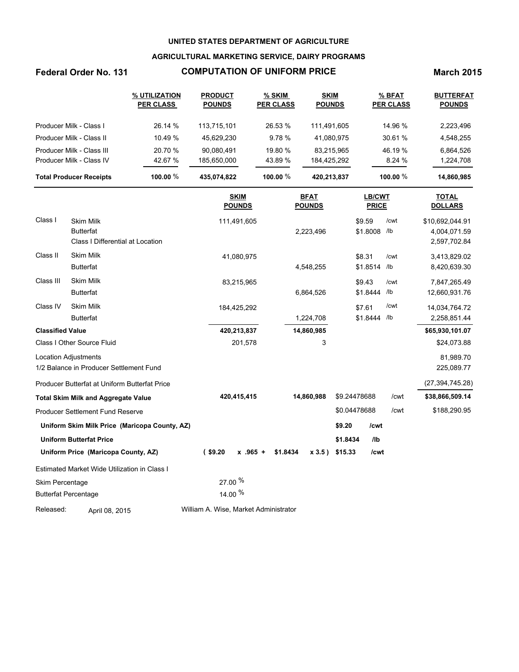## **AGRICULTURAL MARKETING SERVICE, DAIRY PROGRAMS**

# **Federal Order No. 131 COMPUTATION OF UNIFORM PRICE March 2015**

|                                | % UTILIZATION<br><b>PER CLASS</b> | <b>PRODUCT</b><br><b>POUNDS</b> | % SKIM<br><b>PER CLASS</b> | <b>SKIM</b><br><b>POUNDS</b> | % BFAT<br><b>PER CLASS</b> | <b>BUTTERFAT</b><br><b>POUNDS</b> |
|--------------------------------|-----------------------------------|---------------------------------|----------------------------|------------------------------|----------------------------|-----------------------------------|
| Producer Milk - Class I        | 26.14 %                           | 113.715.101                     | 26.53 %                    | 111.491.605                  | 14.96 %                    | 2,223,496                         |
| Producer Milk - Class II       | 10.49%                            | 45.629.230                      | 9.78%                      | 41,080,975                   | 30.61%                     | 4,548,255                         |
| Producer Milk - Class III      | 20.70 %                           | 90.080.491                      | 19.80 %                    | 83.215.965                   | 46.19 %                    | 6,864,526                         |
| Producer Milk - Class IV       | 42.67 %                           | 185.650.000                     | 43.89 %                    | 184,425,292                  | 8.24%                      | 1,224,708                         |
| <b>Total Producer Receipts</b> | 100.00 $%$                        | 435,074,822                     | 100.00 $%$                 | 420,213,837                  | 100.00 $\%$                | 14,860,985                        |

|                         |                                                                          | <b>SKIM</b><br><b>POUNDS</b>          | <b>BFAT</b><br><b>POUNDS</b> | <b>LB/CWT</b><br><b>PRICE</b>                 | <b>TOTAL</b><br><b>DOLLARS</b>                  |
|-------------------------|--------------------------------------------------------------------------|---------------------------------------|------------------------------|-----------------------------------------------|-------------------------------------------------|
| Class I                 | <b>Skim Milk</b><br><b>Butterfat</b><br>Class I Differential at Location | 111,491,605                           | 2,223,496                    | \$9.59<br>/cwt<br>\$1.8008<br>/1 <sub>b</sub> | \$10,692,044.91<br>4,004,071.59<br>2,597,702.84 |
| Class II                | <b>Skim Milk</b><br><b>Butterfat</b>                                     | 41,080,975                            | 4,548,255                    | \$8.31<br>/cwt<br>\$1.8514<br>/lb             | 3,413,829.02<br>8,420,639.30                    |
| Class III               | Skim Milk<br><b>Butterfat</b>                                            | 83,215,965                            | 6,864,526                    | \$9.43<br>/cwt<br>\$1.8444<br>/lb             | 7,847,265.49<br>12,660,931.76                   |
| Class IV                | <b>Skim Milk</b><br><b>Butterfat</b>                                     | 184,425,292                           | 1,224,708                    | /cwt<br>\$7.61<br>\$1.8444<br>/lb             | 14,034,764.72<br>2,258,851.44                   |
| <b>Classified Value</b> |                                                                          | 420,213,837                           | 14,860,985                   |                                               | \$65,930,101.07                                 |
|                         | Class I Other Source Fluid                                               | 201,578                               | 3                            |                                               | \$24,073.88                                     |
|                         | <b>Location Adjustments</b><br>1/2 Balance in Producer Settlement Fund   |                                       |                              |                                               | 81,989.70<br>225,089.77                         |
|                         | Producer Butterfat at Uniform Butterfat Price                            |                                       |                              |                                               | (27, 394, 745.28)                               |
|                         | <b>Total Skim Milk and Aggregate Value</b>                               | 420,415,415                           | 14,860,988                   | \$9.24478688<br>/cwt                          | \$38,866,509.14                                 |
|                         | Producer Settlement Fund Reserve                                         |                                       |                              | \$0.04478688<br>/cwt                          | \$188,290.95                                    |
|                         | Uniform Skim Milk Price (Maricopa County, AZ)                            |                                       |                              | \$9.20<br>/cwt                                |                                                 |
|                         | <b>Uniform Butterfat Price</b>                                           |                                       |                              | \$1.8434<br>I <sub>1</sub>                    |                                                 |
|                         | Uniform Price (Maricopa County, AZ)                                      | $($ \$9.20<br>$x$ .965 +              | \$1.8434<br>x3.5             | \$15.33<br>/cwt                               |                                                 |
|                         | Estimated Market Wide Utilization in Class I                             |                                       |                              |                                               |                                                 |
| Skim Percentage         |                                                                          | 27.00 %                               |                              |                                               |                                                 |
|                         | <b>Butterfat Percentage</b>                                              | 14.00 %                               |                              |                                               |                                                 |
| Released:               | April 08, 2015                                                           | William A. Wise, Market Administrator |                              |                                               |                                                 |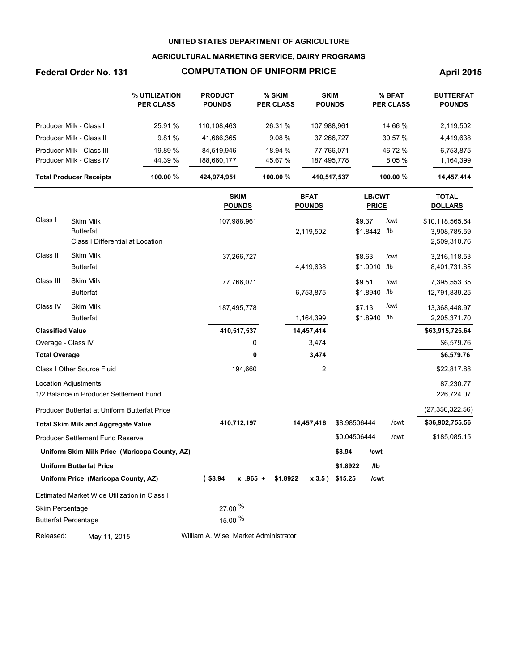## **AGRICULTURAL MARKETING SERVICE, DAIRY PROGRAMS**

# **Federal Order No. 131 COMPUTATION OF UNIFORM PRICE April 2015**

|                                | % UTILIZATION<br><b>PER CLASS</b> | <b>PRODUCT</b><br><b>POUNDS</b> | % SKIM<br><b>PER CLASS</b> | <b>SKIM</b><br><b>POUNDS</b> | % BFAT<br><b>PER CLASS</b> | <b>BUTTERFAT</b><br><b>POUNDS</b> |
|--------------------------------|-----------------------------------|---------------------------------|----------------------------|------------------------------|----------------------------|-----------------------------------|
| Producer Milk - Class I        | 25.91 %                           | 110,108,463                     | 26.31 %                    | 107,988,961                  | 14.66 %                    | 2,119,502                         |
| Producer Milk - Class II       | 9.81%                             | 41,686,365                      | 9.08%                      | 37,266,727                   | 30.57 %                    | 4,419,638                         |
| Producer Milk - Class III      | 19.89 %                           | 84.519.946                      | 18.94 %                    | 77.766.071                   | 46.72 %                    | 6,753,875                         |
| Producer Milk - Class IV       | 44.39 %                           | 188,660,177                     | 45.67 %                    | 187,495,778                  | 8.05%                      | 1,164,399                         |
| <b>Total Producer Receipts</b> | 100.00 $%$                        | 424,974,951                     | 100.00 $%$                 | 410,517,537                  | 100.00 $%$                 | 14,457,414                        |

|                         |                                               | <b>SKIM</b><br><b>POUNDS</b>          | <b>BFAT</b><br><b>POUNDS</b> | <b>LB/CWT</b><br><b>PRICE</b> | <b>TOTAL</b><br><b>DOLLARS</b> |
|-------------------------|-----------------------------------------------|---------------------------------------|------------------------------|-------------------------------|--------------------------------|
| Class I                 | <b>Skim Milk</b>                              | 107,988,961                           |                              | \$9.37<br>/cwt                | \$10,118,565.64                |
|                         | <b>Butterfat</b>                              |                                       | 2,119,502                    | \$1.8442<br>/lb               | 3,908,785.59                   |
|                         | Class I Differential at Location              |                                       |                              |                               | 2,509,310.76                   |
| Class II                | <b>Skim Milk</b>                              | 37,266,727                            |                              | \$8.63<br>/cwt                | 3,216,118.53                   |
|                         | <b>Butterfat</b>                              |                                       | 4,419,638                    | \$1.9010<br>/1 <sub>b</sub>   | 8,401,731.85                   |
| Class III               | <b>Skim Milk</b>                              | 77,766,071                            |                              | \$9.51<br>/cwt                | 7,395,553.35                   |
|                         | <b>Butterfat</b>                              |                                       | 6,753,875                    | \$1.8940<br>/1 <sub>b</sub>   | 12,791,839.25                  |
| Class IV                | <b>Skim Milk</b>                              | 187,495,778                           |                              | /cwt<br>\$7.13                | 13,368,448.97                  |
|                         | <b>Butterfat</b>                              |                                       | 1,164,399                    | \$1.8940<br>/lb               | 2,205,371.70                   |
| <b>Classified Value</b> |                                               | 410,517,537                           | 14,457,414                   |                               | \$63,915,725.64                |
| Overage - Class IV      |                                               | 0                                     | 3,474                        |                               | \$6,579.76                     |
| <b>Total Overage</b>    |                                               | 0                                     | 3,474                        |                               | \$6,579.76                     |
|                         | Class I Other Source Fluid                    | 194,660                               | 2                            |                               | \$22,817.88                    |
|                         | <b>Location Adjustments</b>                   |                                       |                              |                               | 87,230.77                      |
|                         | 1/2 Balance in Producer Settlement Fund       |                                       |                              |                               | 226,724.07                     |
|                         | Producer Butterfat at Uniform Butterfat Price |                                       |                              |                               | (27, 356, 322.56)              |
|                         | <b>Total Skim Milk and Aggregate Value</b>    | 410,712,197                           | 14,457,416                   | \$8.98506444<br>/cwt          | \$36,902,755.56                |
|                         | Producer Settlement Fund Reserve              |                                       |                              | \$0.04506444<br>/cwt          | \$185,085.15                   |
|                         | Uniform Skim Milk Price (Maricopa County, AZ) |                                       |                              | \$8.94<br>/cwt                |                                |
|                         | <b>Uniform Butterfat Price</b>                |                                       |                              | \$1.8922<br>I <sub>1</sub>    |                                |
|                         | Uniform Price (Maricopa County, AZ)           | $($ \$8.94<br>$x$ .965 +              | \$1.8922<br>$x 3.5$ )        | \$15.25<br>/cwt               |                                |
|                         | Estimated Market Wide Utilization in Class I  |                                       |                              |                               |                                |
| Skim Percentage         |                                               | 27.00 %                               |                              |                               |                                |
|                         | <b>Butterfat Percentage</b>                   | 15.00 %                               |                              |                               |                                |
| Released:               | May 11, 2015                                  | William A. Wise, Market Administrator |                              |                               |                                |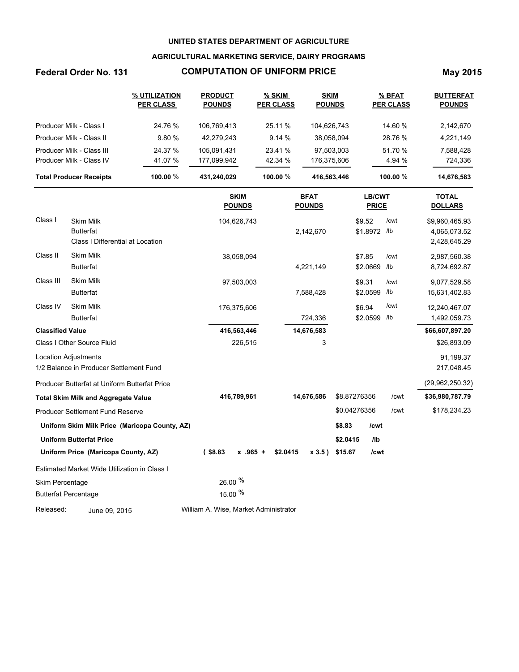## **AGRICULTURAL MARKETING SERVICE, DAIRY PROGRAMS**

# **Federal Order No. 131 COMPUTATION OF UNIFORM PRICE May 2015**

|                                | % UTILIZATION<br><b>PER CLASS</b> | <b>PRODUCT</b><br><b>POUNDS</b> | % SKIM<br><b>PER CLASS</b> | <b>SKIM</b><br><b>POUNDS</b> | % BFAT<br><b>PER CLASS</b> | <b>BUTTERFAT</b><br><b>POUNDS</b> |
|--------------------------------|-----------------------------------|---------------------------------|----------------------------|------------------------------|----------------------------|-----------------------------------|
| Producer Milk - Class I        | 24.76 %                           | 106.769.413                     | 25.11 %                    | 104,626,743                  | 14.60 %                    | 2,142,670                         |
| Producer Milk - Class II       | 9.80%                             | 42,279,243                      | 9.14%                      | 38,058,094                   | 28.76 %                    | 4,221,149                         |
| Producer Milk - Class III      | 24.37 %                           | 105.091.431                     | 23.41 %                    | 97.503.003                   | 51.70 %                    | 7,588,428                         |
| Producer Milk - Class IV       | 41.07 %                           | 177,099,942                     | 42.34 %                    | 176,375,606                  | 4.94 %                     | 724,336                           |
| <b>Total Producer Receipts</b> | 100.00 $%$                        | 431.240.029                     | 100.00 $%$                 | 416,563,446                  | 100.00 $%$                 | 14,676,583                        |

|                         |                                               | <b>SKIM</b><br><b>POUNDS</b>          | <b>BFAT</b><br><b>POUNDS</b> | LB/CWT<br><b>PRICE</b> | <b>TOTAL</b><br><b>DOLLARS</b> |
|-------------------------|-----------------------------------------------|---------------------------------------|------------------------------|------------------------|--------------------------------|
| Class I                 | <b>Skim Milk</b>                              | 104,626,743                           |                              | \$9.52<br>/cwt         | \$9,960,465.93                 |
|                         | <b>Butterfat</b>                              |                                       | 2,142,670                    | \$1.8972 /lb           | 4,065,073.52                   |
|                         | Class I Differential at Location              |                                       |                              |                        | 2,428,645.29                   |
| Class II                | <b>Skim Milk</b>                              | 38,058,094                            |                              | \$7.85<br>/cwt         | 2,987,560.38                   |
|                         | <b>Butterfat</b>                              |                                       | 4,221,149                    | \$2.0669<br>/lb        | 8,724,692.87                   |
| Class III               | <b>Skim Milk</b>                              | 97,503,003                            |                              | \$9.31<br>/cwt         | 9,077,529.58                   |
|                         | <b>Butterfat</b>                              |                                       | 7,588,428                    | \$2.0599<br>/lb        | 15,631,402.83                  |
| Class IV                | <b>Skim Milk</b>                              | 176,375,606                           |                              | /cwt<br>\$6.94         | 12,240,467.07                  |
|                         | <b>Butterfat</b>                              |                                       | 724,336                      | \$2.0599<br>/lb        | 1,492,059.73                   |
| <b>Classified Value</b> |                                               | 416,563,446                           | 14,676,583                   |                        | \$66,607,897.20                |
|                         | Class I Other Source Fluid                    | 226,515                               | 3                            |                        | \$26,893.09                    |
|                         | <b>Location Adjustments</b>                   |                                       |                              |                        | 91,199.37                      |
|                         | 1/2 Balance in Producer Settlement Fund       |                                       |                              |                        | 217,048.45                     |
|                         | Producer Butterfat at Uniform Butterfat Price |                                       |                              |                        | (29,962,250.32)                |
|                         | <b>Total Skim Milk and Aggregate Value</b>    | 416,789,961                           | 14,676,586                   | \$8.87276356           | \$36,980,787.79<br>/cwt        |
|                         | Producer Settlement Fund Reserve              |                                       |                              | \$0.04276356           | /cwt<br>\$178,234.23           |
|                         | Uniform Skim Milk Price (Maricopa County, AZ) |                                       |                              | \$8.83<br>/cwt         |                                |
|                         | <b>Uniform Butterfat Price</b>                |                                       |                              | \$2.0415<br>/lb        |                                |
|                         | Uniform Price (Maricopa County, AZ)           | $($ \$8.83<br>$x$ .965 +              | \$2.0415<br>x 3.5)           | \$15.67<br>/cwt        |                                |
|                         | Estimated Market Wide Utilization in Class I  |                                       |                              |                        |                                |
| <b>Skim Percentage</b>  |                                               | 26.00 %                               |                              |                        |                                |
|                         | <b>Butterfat Percentage</b>                   | 15.00 %                               |                              |                        |                                |
| Released:               | June 09, 2015                                 | William A. Wise, Market Administrator |                              |                        |                                |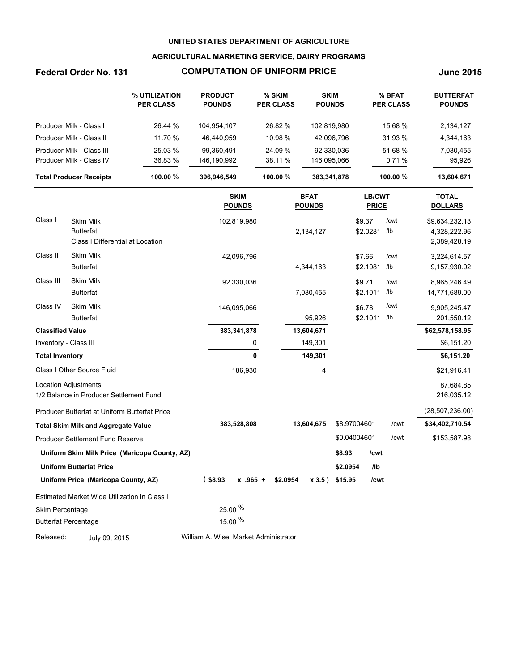## **AGRICULTURAL MARKETING SERVICE, DAIRY PROGRAMS**

# **Federal Order No. 131 COMPUTATION OF UNIFORM PRICE June 2015**

|                                | % UTILIZATION<br><b>PER CLASS</b> | <b>PRODUCT</b><br><b>POUNDS</b> | % SKIM<br><b>PER CLASS</b> | <b>SKIM</b><br><b>POUNDS</b> | % BFAT<br><b>PER CLASS</b> | <b>BUTTERFAT</b><br><b>POUNDS</b> |
|--------------------------------|-----------------------------------|---------------------------------|----------------------------|------------------------------|----------------------------|-----------------------------------|
| Producer Milk - Class I        | 26.44 %                           | 104,954,107                     | 26.82 %                    | 102,819,980                  | 15.68 %                    | 2,134,127                         |
| Producer Milk - Class II       | 11.70 %                           | 46.440.959                      | 10.98 %                    | 42.096.796                   | 31.93 %                    | 4,344,163                         |
| Producer Milk - Class III      | 25.03 %                           | 99.360.491                      | 24.09 %                    | 92.330.036                   | 51.68 %                    | 7,030,455                         |
| Producer Milk - Class IV       | 36.83 %                           | 146.190.992                     | 38.11 %                    | 146,095,066                  | 0.71%                      | 95,926                            |
| <b>Total Producer Receipts</b> | 100.00 $%$                        | 396,946,549                     | 100.00 $%$                 | 383,341,878                  | 100.00 $%$                 | 13,604,671                        |
|                                |                                   |                                 |                            |                              |                            |                                   |

|                         |                                                                          | <b>SKIM</b><br><b>POUNDS</b>          | <u>BFAT</u><br><b>POUNDS</b> | <b>LB/CWT</b><br><b>PRICE</b> |                         | <b>TOTAL</b><br><b>DOLLARS</b>                 |
|-------------------------|--------------------------------------------------------------------------|---------------------------------------|------------------------------|-------------------------------|-------------------------|------------------------------------------------|
| Class I                 | <b>Skim Milk</b><br><b>Butterfat</b><br>Class I Differential at Location | 102,819,980                           | 2,134,127                    | \$9.37<br>\$2.0281            | /cwt<br>$/$ lb          | \$9,634,232.13<br>4,328,222.96<br>2,389,428.19 |
| Class II                | <b>Skim Milk</b><br><b>Butterfat</b>                                     | 42,096,796                            | 4,344,163                    | \$7.66<br>\$2.1081            | /cwt<br>/lb             | 3,224,614.57<br>9,157,930.02                   |
| Class III               | <b>Skim Milk</b><br><b>Butterfat</b>                                     | 92,330,036                            | 7,030,455                    | \$9.71<br>\$2.1011            | /cwt<br>/lb             | 8,965,246.49<br>14,771,689.00                  |
| Class IV                | <b>Skim Milk</b><br><b>Butterfat</b>                                     | 146,095,066                           | 95,926                       | \$6.78<br>\$2.1011            | /cwt<br>/1 <sub>b</sub> | 9,905,245.47<br>201,550.12                     |
| <b>Classified Value</b> |                                                                          | 383,341,878                           | 13,604,671                   |                               |                         | \$62,578,158.95                                |
|                         | Inventory - Class III                                                    | 0                                     | 149,301                      |                               |                         | \$6,151.20                                     |
| <b>Total Inventory</b>  |                                                                          | 0                                     | 149,301                      |                               |                         | \$6,151.20                                     |
|                         | Class I Other Source Fluid                                               | 186,930                               | 4                            |                               |                         | \$21,916.41                                    |
|                         | <b>Location Adjustments</b><br>1/2 Balance in Producer Settlement Fund   |                                       |                              |                               |                         | 87,684.85<br>216,035.12                        |
|                         | Producer Butterfat at Uniform Butterfat Price                            |                                       |                              |                               |                         | (28, 507, 236.00)                              |
|                         | <b>Total Skim Milk and Aggregate Value</b>                               | 383,528,808                           | 13,604,675                   | \$8.97004601                  | /cwt                    | \$34,402,710.54                                |
|                         | Producer Settlement Fund Reserve                                         |                                       |                              | \$0.04004601                  | /cwt                    | \$153,587.98                                   |
|                         | Uniform Skim Milk Price (Maricopa County, AZ)                            |                                       |                              | \$8.93<br>/cwt                |                         |                                                |
|                         | <b>Uniform Butterfat Price</b>                                           |                                       |                              | \$2.0954<br>I <sub>1</sub>    |                         |                                                |
|                         | Uniform Price (Maricopa County, AZ)                                      | $($ \$8.93<br>$x$ .965 +              | \$2.0954<br>$x 3.5$ )        | \$15.95<br>/cwt               |                         |                                                |
|                         | Estimated Market Wide Utilization in Class I                             |                                       |                              |                               |                         |                                                |
| Skim Percentage         |                                                                          | 25.00 %                               |                              |                               |                         |                                                |
|                         | <b>Butterfat Percentage</b>                                              | 15.00 %                               |                              |                               |                         |                                                |
| Released:               | July 09, 2015                                                            | William A. Wise, Market Administrator |                              |                               |                         |                                                |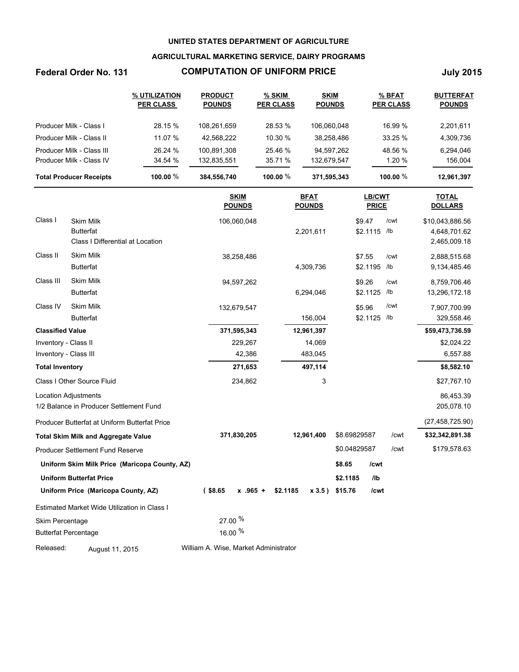## **AGRICULTURAL MARKETING SERVICE, DAIRY PROGRAMS**

# **Federal Order No. 131 COMPUTATION OF UNIFORM PRICE July 2015**

|                                | % UTILIZATION<br><b>PER CLASS</b> | <b>PRODUCT</b><br><b>POUNDS</b> | $%$ SKIM<br><b>PER CLASS</b> | <b>SKIM</b><br><b>POUNDS</b> | % BFAT<br><b>PER CLASS</b> | <b>BUTTERFAT</b><br><b>POUNDS</b> |
|--------------------------------|-----------------------------------|---------------------------------|------------------------------|------------------------------|----------------------------|-----------------------------------|
| Producer Milk - Class I        | 28.15 %                           | 108.261.659                     | 28.53 %                      | 106,060,048                  | 16.99 %                    | 2,201,611                         |
| Producer Milk - Class II       | 11.07 %                           | 42.568.222                      | 10.30 %                      | 38,258,486                   | 33.25 %                    | 4,309,736                         |
| Producer Milk - Class III      | 26.24 %                           | 100.891.308                     | 25.46 %                      | 94.597.262                   | 48.56 %                    | 6,294,046                         |
| Producer Milk - Class IV       | 34.54 %                           | 132,835,551                     | 35.71 %                      | 132,679,547                  | 1.20 %                     | 156.004                           |
| <b>Total Producer Receipts</b> | 100.00 $%$                        | 384,556,740                     | 100.00 $%$                   | 371,595,343                  | 100.00 $\%$                | 12.961.397                        |

|                             |                                                                          | <b>SKIM</b><br><b>POUNDS</b>          | <b>BFAT</b><br><b>POUNDS</b> | <b>LB/CWT</b><br><b>PRICE</b> | <b>TOTAL</b><br><b>DOLLARS</b>                          |
|-----------------------------|--------------------------------------------------------------------------|---------------------------------------|------------------------------|-------------------------------|---------------------------------------------------------|
| Class I                     | <b>Skim Milk</b><br><b>Butterfat</b><br>Class I Differential at Location | 106,060,048                           | 2,201,611                    | \$9.47<br>\$2.1115 /lb        | /cwt<br>\$10,043,886.56<br>4,648,701.62<br>2,465,009.18 |
| Class II                    | <b>Skim Milk</b><br><b>Butterfat</b>                                     | 38,258,486                            | 4,309,736                    | \$7.55<br>\$2.1195            | /cwt<br>2,888,515.68<br>/lb<br>9,134,485.46             |
| Class III                   | <b>Skim Milk</b><br><b>Butterfat</b>                                     | 94,597,262                            | 6,294,046                    | \$9.26<br>\$2.1125            | /cwt<br>8,759,706.46<br>/lb<br>13,296,172.18            |
| Class IV                    | <b>Skim Milk</b><br><b>Butterfat</b>                                     | 132,679,547                           | 156,004                      | \$5.96<br>\$2.1125            | /cwt<br>7,907,700.99<br>/lb<br>329,558.46               |
| <b>Classified Value</b>     |                                                                          | 371,595,343                           | 12,961,397                   |                               | \$59,473,736.59                                         |
| Inventory - Class II        |                                                                          | 229,267                               | 14,069                       |                               | \$2,024.22                                              |
| Inventory - Class III       |                                                                          | 42,386                                | 483,045                      |                               | 6,557.88                                                |
| <b>Total Inventory</b>      |                                                                          | 271,653                               | 497,114                      |                               | \$8,582.10                                              |
|                             | Class I Other Source Fluid                                               | 234,862                               | 3                            |                               | \$27,767.10                                             |
| <b>Location Adjustments</b> | 1/2 Balance in Producer Settlement Fund                                  |                                       |                              |                               | 86,453.39<br>205,078.10                                 |
|                             | Producer Butterfat at Uniform Butterfat Price                            |                                       |                              |                               | (27, 458, 725.90)                                       |
|                             | <b>Total Skim Milk and Aggregate Value</b>                               | 371,830,205                           | 12,961,400                   | \$8.69829587                  | /cwt<br>\$32,342,891.38                                 |
|                             | <b>Producer Settlement Fund Reserve</b>                                  |                                       |                              | \$0.04829587                  | /cwt<br>\$179,578.63                                    |
|                             | Uniform Skim Milk Price (Maricopa County, AZ)                            |                                       |                              | \$8.65<br>/cwt                |                                                         |
|                             | <b>Uniform Butterfat Price</b>                                           |                                       |                              | I <sub>1</sub><br>\$2.1185    |                                                         |
|                             | Uniform Price (Maricopa County, AZ)                                      | $($ \$8.65<br>$x$ .965 +              | \$2.1185<br>$x 3.5$ )        | \$15.76<br>/cwt               |                                                         |
|                             | Estimated Market Wide Utilization in Class I                             |                                       |                              |                               |                                                         |
| Skim Percentage             |                                                                          | 27.00 %                               |                              |                               |                                                         |
| <b>Butterfat Percentage</b> |                                                                          | 16.00 %                               |                              |                               |                                                         |
| Released:                   | August 11, 2015                                                          | William A. Wise, Market Administrator |                              |                               |                                                         |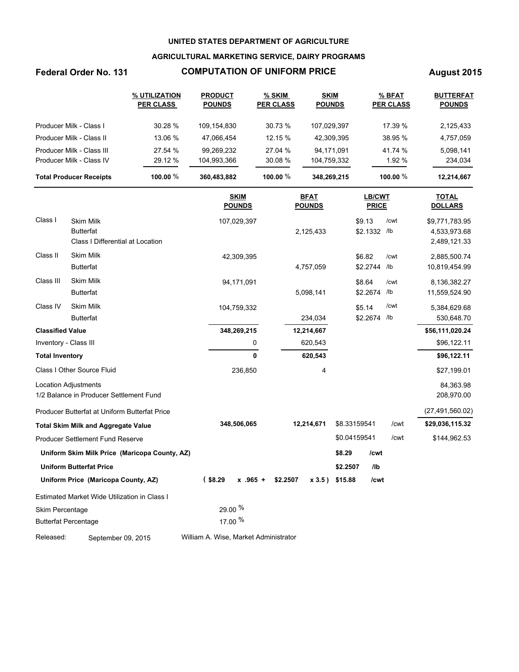## **AGRICULTURAL MARKETING SERVICE, DAIRY PROGRAMS**

# **Federal Order No. 131 COMPUTATION OF UNIFORM PRICE August 2015**

|                                | % UTILIZATION<br><b>PER CLASS</b> | <b>PRODUCT</b><br><b>POUNDS</b> | % SKIM<br><b>PER CLASS</b> | <b>SKIM</b><br><b>POUNDS</b> | % BFAT<br><b>PER CLASS</b> | <b>BUTTERFAT</b><br><b>POUNDS</b> |
|--------------------------------|-----------------------------------|---------------------------------|----------------------------|------------------------------|----------------------------|-----------------------------------|
| Producer Milk - Class I        | 30.28 %                           | 109.154.830                     | 30.73 %                    | 107,029,397                  | 17.39 %                    | 2,125,433                         |
| Producer Milk - Class II       | 13.06 %                           | 47.066.454                      | 12.15%                     | 42.309.395                   | 38.95 %                    | 4,757,059                         |
| Producer Milk - Class III      | 27.54 %                           | 99.269.232                      | 27.04 %                    | 94.171.091                   | 41.74 %                    | 5,098,141                         |
| Producer Milk - Class IV       | 29.12 %                           | 104,993,366                     | 30.08%                     | 104,759,332                  | 1.92 %                     | 234,034                           |
| <b>Total Producer Receipts</b> | 100.00 $%$                        | 360,483,882                     | 100.00 $%$                 | 348,269,215                  | 100.00 $\%$                | 12,214,667                        |

|                         |                                               | <b>SKIM</b><br><b>POUNDS</b>          | <b>BFAT</b><br><b>POUNDS</b> | <b>LB/CWT</b><br><b>PRICE</b> | <b>TOTAL</b><br><b>DOLLARS</b> |
|-------------------------|-----------------------------------------------|---------------------------------------|------------------------------|-------------------------------|--------------------------------|
| Class I                 | <b>Skim Milk</b>                              | 107,029,397                           |                              | \$9.13<br>/cwt                | \$9,771,783.95                 |
|                         | <b>Butterfat</b>                              |                                       | 2,125,433                    | \$2.1332<br>/lb               | 4,533,973.68                   |
|                         | Class I Differential at Location              |                                       |                              |                               | 2,489,121.33                   |
| Class II                | <b>Skim Milk</b>                              | 42,309,395                            |                              | \$6.82<br>/cwt                | 2,885,500.74                   |
|                         | <b>Butterfat</b>                              |                                       | 4,757,059                    | \$2.2744<br>$/$ lb            | 10,819,454.99                  |
| Class III               | <b>Skim Milk</b>                              | 94,171,091                            |                              | \$8.64<br>/cwt                | 8,136,382.27                   |
|                         | <b>Butterfat</b>                              |                                       | 5,098,141                    | \$2.2674<br>/lb               | 11,559,524.90                  |
| Class IV                | <b>Skim Milk</b>                              | 104,759,332                           |                              | /cwt<br>\$5.14                | 5,384,629.68                   |
|                         | <b>Butterfat</b>                              |                                       | 234,034                      | \$2.2674<br>/lb               | 530,648.70                     |
| <b>Classified Value</b> |                                               | 348,269,215                           | 12,214,667                   |                               | \$56,111,020.24                |
|                         | Inventory - Class III                         | 0                                     | 620,543                      |                               | \$96,122.11                    |
| <b>Total Inventory</b>  |                                               | $\mathbf{0}$                          | 620,543                      |                               | \$96,122.11                    |
|                         | Class I Other Source Fluid                    | 236,850                               | 4                            |                               | \$27,199.01                    |
|                         | <b>Location Adjustments</b>                   |                                       |                              |                               | 84,363.98                      |
|                         | 1/2 Balance in Producer Settlement Fund       |                                       |                              |                               | 208,970.00                     |
|                         | Producer Butterfat at Uniform Butterfat Price |                                       |                              |                               | (27, 491, 560.02)              |
|                         | <b>Total Skim Milk and Aggregate Value</b>    | 348,506,065                           | 12,214,671                   | \$8.33159541<br>/cwt          | \$29,036,115.32                |
|                         | <b>Producer Settlement Fund Reserve</b>       |                                       |                              | \$0.04159541<br>/cwt          | \$144,962.53                   |
|                         | Uniform Skim Milk Price (Maricopa County, AZ) |                                       |                              | \$8.29<br>/cwt                |                                |
|                         | <b>Uniform Butterfat Price</b>                |                                       |                              | I <sub>1</sub><br>\$2.2507    |                                |
|                         | Uniform Price (Maricopa County, AZ)           | $($ \$8.29<br>$x$ .965 +              | \$2.2507<br>$x 3.5$ )        | \$15.88<br>/cwt               |                                |
|                         | Estimated Market Wide Utilization in Class I  |                                       |                              |                               |                                |
| Skim Percentage         |                                               | 29.00 %                               |                              |                               |                                |
|                         | <b>Butterfat Percentage</b>                   | 17.00 %                               |                              |                               |                                |
| Released:               | September 09, 2015                            | William A. Wise, Market Administrator |                              |                               |                                |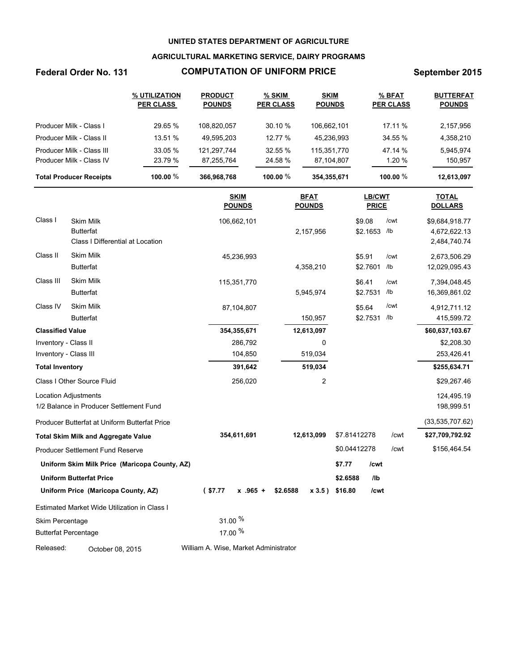## **AGRICULTURAL MARKETING SERVICE, DAIRY PROGRAMS**

# **Federal Order No. 131 COMPUTATION OF UNIFORM PRICE September 2015**

|                                | % UTILIZATION<br><b>PER CLASS</b> | <b>PRODUCT</b><br><b>POUNDS</b> | % SKIM<br><b>PER CLASS</b> | <b>SKIM</b><br><b>POUNDS</b> | % BFAT<br><b>PER CLASS</b> | <b>BUTTERFAT</b><br><b>POUNDS</b> |
|--------------------------------|-----------------------------------|---------------------------------|----------------------------|------------------------------|----------------------------|-----------------------------------|
| Producer Milk - Class I        | 29.65 %                           | 108.820.057                     | $30.10 \%$                 | 106.662.101                  | 17.11 %                    | 2,157,956                         |
| Producer Milk - Class II       | 13.51 %                           | 49.595.203                      | 12.77 %                    | 45.236.993                   | 34.55 %                    | 4,358,210                         |
| Producer Milk - Class III      | 33.05 %                           | 121.297.744                     | 32.55 %                    | 115,351,770                  | 47.14 %                    | 5.945.974                         |
| Producer Milk - Class IV       | 23.79 %                           | 87.255.764                      | 24.58 %                    | 87,104,807                   | 1.20 %                     | 150,957                           |
| <b>Total Producer Receipts</b> | 100.00 $%$                        | 366,968,768                     | 100.00 $%$                 | 354,355,671                  | 100.00 $%$                 | 12,613,097                        |

|                             |                                                                          | <b>SKIM</b><br><b>POUNDS</b>          | <b>BFAT</b><br><b>POUNDS</b> | <b>LB/CWT</b><br><b>PRICE</b> | <b>TOTAL</b><br><b>DOLLARS</b>                           |
|-----------------------------|--------------------------------------------------------------------------|---------------------------------------|------------------------------|-------------------------------|----------------------------------------------------------|
| Class I                     | <b>Skim Milk</b><br><b>Butterfat</b><br>Class I Differential at Location | 106,662,101                           | 2,157,956                    | \$9.08<br>\$2.1653 /lb        | /cwt<br>\$9,684,918.77<br>4,672,622.13<br>2,484,740.74   |
| Class II                    | Skim Milk<br><b>Butterfat</b>                                            | 45,236,993                            | 4,358,210                    | \$5.91<br>\$2.7601            | /cwt<br>2,673,506.29<br>/1 <sub>b</sub><br>12,029,095.43 |
| Class III                   | <b>Skim Milk</b><br><b>Butterfat</b>                                     | 115,351,770                           | 5,945,974                    | \$6.41<br>\$2.7531            | /cwt<br>7,394,048.45<br>/1 <sub>b</sub><br>16,369,861.02 |
| Class IV                    | <b>Skim Milk</b><br><b>Butterfat</b>                                     | 87,104,807                            | 150,957                      | \$5.64<br>\$2.7531            | /cwt<br>4,912,711.12<br>/lb<br>415,599.72                |
| <b>Classified Value</b>     |                                                                          | 354,355,671                           | 12,613,097                   |                               | \$60,637,103.67                                          |
| Inventory - Class II        |                                                                          | 286,792                               | 0                            |                               | \$2,208.30                                               |
| Inventory - Class III       |                                                                          | 104,850                               | 519,034                      |                               | 253,426.41                                               |
| <b>Total Inventory</b>      |                                                                          | 391,642                               | 519,034                      |                               | \$255,634.71                                             |
|                             | Class I Other Source Fluid                                               | 256,020                               | 2                            |                               | \$29,267.46                                              |
| <b>Location Adjustments</b> | 1/2 Balance in Producer Settlement Fund                                  |                                       |                              |                               | 124,495.19<br>198,999.51                                 |
|                             | Producer Butterfat at Uniform Butterfat Price                            |                                       |                              |                               | (33,535,707.62)                                          |
|                             | <b>Total Skim Milk and Aggregate Value</b>                               | 354,611,691                           | 12,613,099                   | \$7.81412278                  | /cwt<br>\$27,709,792.92                                  |
|                             | Producer Settlement Fund Reserve                                         |                                       |                              | \$0.04412278                  | /cwt<br>\$156,464.54                                     |
|                             | Uniform Skim Milk Price (Maricopa County, AZ)                            |                                       |                              | \$7.77<br>/cwt                |                                                          |
|                             | <b>Uniform Butterfat Price</b>                                           |                                       |                              | \$2.6588<br>/lb               |                                                          |
|                             | Uniform Price (Maricopa County, AZ)                                      | (S7.77)<br>$x$ .965 +                 | \$2.6588<br>x 3.5)           | \$16.80<br>/cwt               |                                                          |
|                             | Estimated Market Wide Utilization in Class I                             |                                       |                              |                               |                                                          |
| Skim Percentage             |                                                                          | 31.00 %                               |                              |                               |                                                          |
| <b>Butterfat Percentage</b> |                                                                          | 17.00 %                               |                              |                               |                                                          |
| Released:                   | October 08, 2015                                                         | William A. Wise, Market Administrator |                              |                               |                                                          |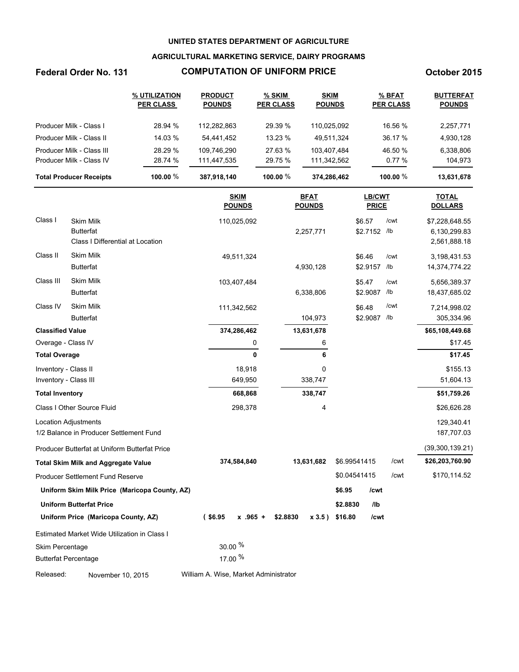### **AGRICULTURAL MARKETING SERVICE, DAIRY PROGRAMS**

# **Federal Order No. 131 COMPUTATION OF UNIFORM PRICE October 2015**

|                                | % UTILIZATION<br><b>PER CLASS</b> | <b>PRODUCT</b><br><b>POUNDS</b> | $%$ SKIM<br><b>PER CLASS</b> | <b>SKIM</b><br><b>POUNDS</b> | % BFAT<br><b>PER CLASS</b> | <b>BUTTERFAT</b><br><b>POUNDS</b> |
|--------------------------------|-----------------------------------|---------------------------------|------------------------------|------------------------------|----------------------------|-----------------------------------|
| Producer Milk - Class I        | 28.94 %                           | 112.282.863                     | 29.39 %                      | 110.025.092                  | 16.56 %                    | 2,257,771                         |
| Producer Milk - Class II       | 14.03 %                           | 54.441.452                      | 13.23%                       | 49,511,324                   | 36.17 %                    | 4,930,128                         |
| Producer Milk - Class III      | 28.29 %                           | 109.746.290                     | 27.63 %                      | 103.407.484                  | 46.50 %                    | 6,338,806                         |
| Producer Milk - Class IV       | 28.74 %                           | 111.447.535                     | 29.75 %                      | 111,342,562                  | 0.77%                      | 104,973                           |
| <b>Total Producer Receipts</b> | 100.00 $%$                        | 387,918,140                     | 100.00 $%$                   | 374,286,462                  | 100.00 $%$                 | 13,631,678                        |

|                             |                                                      |                                            | <b>SKIM</b><br><b>POUNDS</b> |          | <b>BFAT</b><br><b>POUNDS</b> |              | <b>LB/CWT</b><br><b>PRICE</b> |      | <b>TOTAL</b><br><b>DOLLARS</b> |
|-----------------------------|------------------------------------------------------|--------------------------------------------|------------------------------|----------|------------------------------|--------------|-------------------------------|------|--------------------------------|
| Class I                     | <b>Skim Milk</b>                                     |                                            | 110,025,092                  |          |                              | \$6.57       |                               | /cwt | \$7,228,648.55                 |
|                             | <b>Butterfat</b><br>Class I Differential at Location |                                            |                              |          | 2,257,771                    |              | \$2.7152 /lb                  |      | 6,130,299.83<br>2,561,888.18   |
| Class II                    | <b>Skim Milk</b>                                     |                                            | 49,511,324                   |          |                              | \$6.46       |                               | /cwt | 3,198,431.53                   |
|                             | <b>Butterfat</b>                                     |                                            |                              |          | 4,930,128                    |              | \$2.9157                      | /lb  | 14,374,774.22                  |
| Class III                   | <b>Skim Milk</b>                                     |                                            | 103,407,484                  |          |                              | \$5.47       |                               | /cwt | 5,656,389.37                   |
|                             | <b>Butterfat</b>                                     |                                            |                              |          | 6,338,806                    |              | \$2.9087                      | /lb  | 18,437,685.02                  |
| Class IV                    | <b>Skim Milk</b>                                     |                                            | 111,342,562                  |          |                              | \$6.48       |                               | /cwt | 7,214,998.02                   |
|                             | <b>Butterfat</b>                                     |                                            |                              |          | 104,973                      |              | \$2.9087                      | /lb  | 305,334.96                     |
| <b>Classified Value</b>     |                                                      |                                            | 374,286,462                  |          | 13,631,678                   |              |                               |      | \$65,108,449.68                |
| Overage - Class IV          |                                                      |                                            | 0                            |          | 6                            |              |                               |      | \$17.45                        |
| <b>Total Overage</b>        |                                                      |                                            | 0                            |          | 6                            |              |                               |      | \$17.45                        |
| Inventory - Class II        |                                                      |                                            | 18,918                       |          | 0                            |              |                               |      | \$155.13                       |
| Inventory - Class III       |                                                      |                                            | 649,950                      |          | 338,747                      |              |                               |      | 51,604.13                      |
| <b>Total Inventory</b>      |                                                      |                                            | 668,868                      |          | 338,747                      |              |                               |      | \$51,759.26                    |
|                             | Class I Other Source Fluid                           |                                            | 298,378                      |          | 4                            |              |                               |      | \$26,626.28                    |
|                             | <b>Location Adjustments</b>                          |                                            |                              |          |                              |              |                               |      | 129,340.41                     |
|                             | 1/2 Balance in Producer Settlement Fund              |                                            |                              |          |                              |              |                               |      | 187,707.03                     |
|                             | Producer Butterfat at Uniform Butterfat Price        |                                            |                              |          |                              |              |                               |      | (39, 300, 139.21)              |
|                             | <b>Total Skim Milk and Aggregate Value</b>           |                                            | 374,584,840                  |          | 13,631,682                   | \$6.99541415 |                               | /cwt | \$26,203,760.90                |
|                             | Producer Settlement Fund Reserve                     |                                            |                              |          |                              | \$0.04541415 |                               | /cwt | \$170,114.52                   |
|                             | Uniform Skim Milk Price (Maricopa County, AZ)        |                                            |                              |          |                              | \$6.95       | /cwt                          |      |                                |
|                             | <b>Uniform Butterfat Price</b>                       |                                            |                              |          |                              | \$2.8830     | I <sub>1</sub>                |      |                                |
|                             | Uniform Price (Maricopa County, AZ)                  | $($ \$6.95                                 | $x$ .965 +                   | \$2.8830 | x 3.5)                       | \$16.80      | /cwt                          |      |                                |
|                             | Estimated Market Wide Utilization in Class I         |                                            |                              |          |                              |              |                               |      |                                |
| Skim Percentage             |                                                      | 30.00 %                                    |                              |          |                              |              |                               |      |                                |
| <b>Butterfat Percentage</b> |                                                      | 17.00 %                                    |                              |          |                              |              |                               |      |                                |
|                             |                                                      | $\mathbf{A}$ , $\mathbf{A}$ , $\mathbf{B}$ |                              |          |                              |              |                               |      |                                |

Released: November 10, 2015 William A. Wise, Market Administrator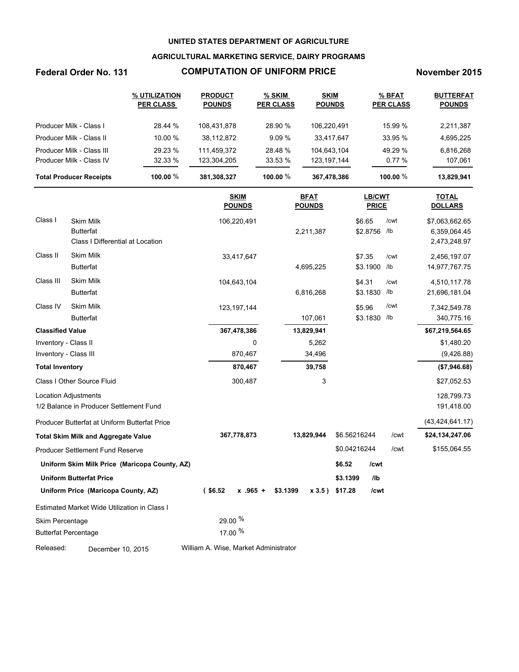### **AGRICULTURAL MARKETING SERVICE, DAIRY PROGRAMS**

# **Federal Order No. 131 COMPUTATION OF UNIFORM PRICE November 2015**

|                                | % UTILIZATION<br><b>PER CLASS</b> | <b>PRODUCT</b><br><b>POUNDS</b> | % SKIM<br><b>PER CLASS</b> | <b>SKIM</b><br><b>POUNDS</b> | % BFAT<br><b>PER CLASS</b> | <b>BUTTERFAT</b><br><b>POUNDS</b> |
|--------------------------------|-----------------------------------|---------------------------------|----------------------------|------------------------------|----------------------------|-----------------------------------|
| Producer Milk - Class I        | 28.44 %                           | 108.431.878                     | 28.90 %                    | 106.220.491                  | 15.99 %                    | 2,211,387                         |
| Producer Milk - Class II       | 10.00 %                           | 38,112,872                      | 9.09%                      | 33.417.647                   | 33.95 %                    | 4,695,225                         |
| Producer Milk - Class III      | 29.23 %                           | 111.459.372                     | 28.48 %                    | 104,643,104                  | 49.29 %                    | 6,816,268                         |
| Producer Milk - Class IV       | 32.33%                            | 123,304,205                     | 33.53 %                    | 123, 197, 144                | 0.77%                      | 107,061                           |
| <b>Total Producer Receipts</b> | 100.00 $%$                        | 381,308,327                     | 100.00 $%$                 | 367,478,386                  | 100.00 $\%$                | 13,829,941                        |

|                         |                                               | <b>SKIM</b><br><b>POUNDS</b>          | <b>BFAT</b><br><b>POUNDS</b> | <b>LB/CWT</b><br><b>PRICE</b> | <b>TOTAL</b><br><b>DOLLARS</b> |
|-------------------------|-----------------------------------------------|---------------------------------------|------------------------------|-------------------------------|--------------------------------|
| Class I                 | <b>Skim Milk</b>                              | 106,220,491                           |                              | \$6.65<br>/cwt                | \$7,063,662.65                 |
|                         | <b>Butterfat</b>                              |                                       | 2,211,387                    | \$2.8756<br>/lb               | 6,359,064.45                   |
|                         | Class I Differential at Location              |                                       |                              |                               | 2,473,248.97                   |
| Class II                | <b>Skim Milk</b>                              | 33,417,647                            |                              | \$7.35<br>/cwt                | 2,456,197.07                   |
|                         | <b>Butterfat</b>                              |                                       | 4,695,225                    | \$3.1900<br>/lb               | 14,977,767.75                  |
| Class III               | <b>Skim Milk</b>                              | 104,643,104                           |                              | \$4.31<br>/cwt                | 4,510,117.78                   |
|                         | <b>Butterfat</b>                              |                                       | 6,816,268                    | \$3.1830<br>/lb               | 21,696,181.04                  |
| Class IV                | <b>Skim Milk</b>                              | 123, 197, 144                         |                              | /cwt<br>\$5.96                | 7,342,549.78                   |
|                         | <b>Butterfat</b>                              |                                       | 107,061                      | \$3.1830<br>/lb               | 340,775.16                     |
| <b>Classified Value</b> |                                               | 367,478,386                           | 13,829,941                   |                               | \$67,219,564.65                |
| Inventory - Class II    |                                               | 0                                     | 5,262                        |                               | \$1,480.20                     |
| Inventory - Class III   |                                               | 870,467                               | 34,496                       |                               | (9,426.88)                     |
| <b>Total Inventory</b>  |                                               | 870,467                               | 39,758                       |                               | (\$7,946.68)                   |
|                         | Class I Other Source Fluid                    | 300,487                               | 3                            |                               | \$27,052.53                    |
|                         | <b>Location Adjustments</b>                   |                                       |                              |                               | 128,799.73                     |
|                         | 1/2 Balance in Producer Settlement Fund       |                                       |                              |                               | 191,418.00                     |
|                         | Producer Butterfat at Uniform Butterfat Price |                                       |                              |                               | (43, 424, 641.17)              |
|                         | <b>Total Skim Milk and Aggregate Value</b>    | 367,778,873                           | 13,829,944                   | \$6.56216244<br>/cwt          | \$24,134,247.06                |
|                         | <b>Producer Settlement Fund Reserve</b>       |                                       |                              | \$0.04216244<br>/cwt          | \$155,064.55                   |
|                         | Uniform Skim Milk Price (Maricopa County, AZ) |                                       |                              | \$6.52<br>/cwt                |                                |
|                         | <b>Uniform Butterfat Price</b>                |                                       |                              | I <sub>1</sub><br>\$3.1399    |                                |
|                         | Uniform Price (Maricopa County, AZ)           | $($ \$6.52<br>$x$ .965 +              | \$3.1399<br>x 3.5)           | \$17.28<br>/cwt               |                                |
|                         | Estimated Market Wide Utilization in Class I  |                                       |                              |                               |                                |
| Skim Percentage         |                                               | 29.00 %                               |                              |                               |                                |
|                         | <b>Butterfat Percentage</b>                   | 17.00 %                               |                              |                               |                                |
| Released:               | December 10, 2015                             | William A. Wise, Market Administrator |                              |                               |                                |